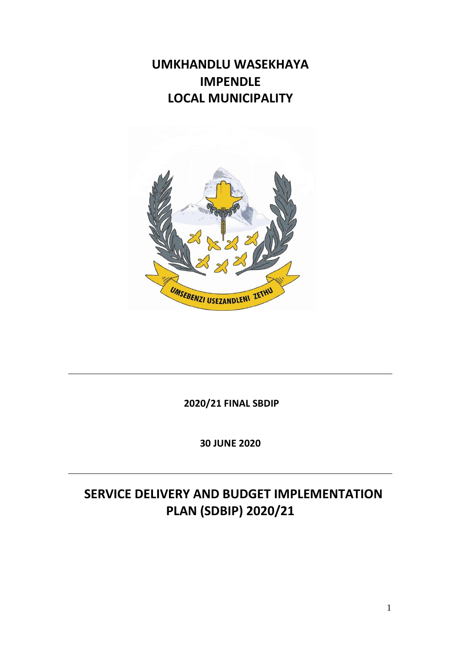## **UMKHANDLU WASEKHAYA IMPENDLE LOCAL MUNICIPALITY**



**2020/21 FINAL SBDIP**

**30 JUNE 2020**

# **SERVICE DELIVERY AND BUDGET IMPLEMENTATION PLAN (SDBIP) 2020/21**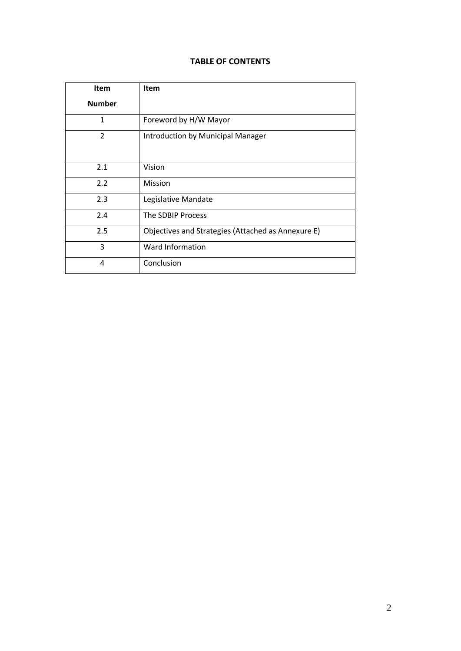### **TABLE OF CONTENTS**

| <b>Item</b>   | <b>Item</b>                                        |
|---------------|----------------------------------------------------|
| <b>Number</b> |                                                    |
| $\mathbf{1}$  | Foreword by H/W Mayor                              |
| $\mathcal{P}$ | Introduction by Municipal Manager                  |
| 2.1           | Vision                                             |
| 2.2           | Mission                                            |
| 2.3           | Legislative Mandate                                |
| 2.4           | The SDBIP Process                                  |
| 2.5           | Objectives and Strategies (Attached as Annexure E) |
| 3             | Ward Information                                   |
| 4             | Conclusion                                         |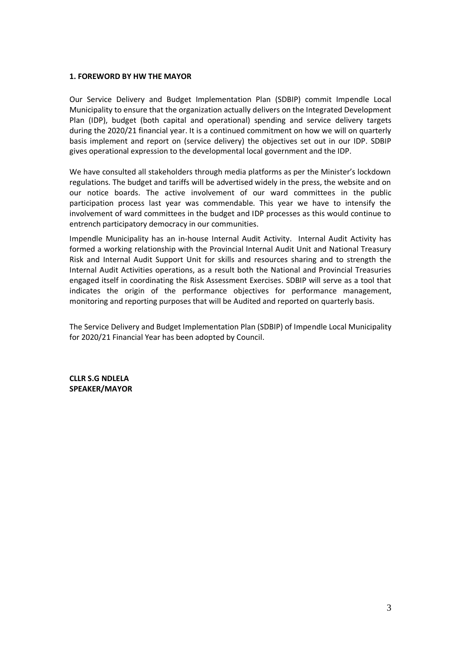#### **1. FOREWORD BY HW THE MAYOR**

Our Service Delivery and Budget Implementation Plan (SDBIP) commit Impendle Local Municipality to ensure that the organization actually delivers on the Integrated Development Plan (IDP), budget (both capital and operational) spending and service delivery targets during the 2020/21 financial year. It is a continued commitment on how we will on quarterly basis implement and report on (service delivery) the objectives set out in our IDP. SDBIP gives operational expression to the developmental local government and the IDP.

We have consulted all stakeholders through media platforms as per the Minister's lockdown regulations. The budget and tariffs will be advertised widely in the press, the website and on our notice boards. The active involvement of our ward committees in the public participation process last year was commendable. This year we have to intensify the involvement of ward committees in the budget and IDP processes as this would continue to entrench participatory democracy in our communities.

Impendle Municipality has an in-house Internal Audit Activity. Internal Audit Activity has formed a working relationship with the Provincial Internal Audit Unit and National Treasury Risk and Internal Audit Support Unit for skills and resources sharing and to strength the Internal Audit Activities operations, as a result both the National and Provincial Treasuries engaged itself in coordinating the Risk Assessment Exercises. SDBIP will serve as a tool that indicates the origin of the performance objectives for performance management, monitoring and reporting purposes that will be Audited and reported on quarterly basis.

The Service Delivery and Budget Implementation Plan (SDBIP) of Impendle Local Municipality for 2020/21 Financial Year has been adopted by Council.

**CLLR S.G NDLELA SPEAKER/MAYOR**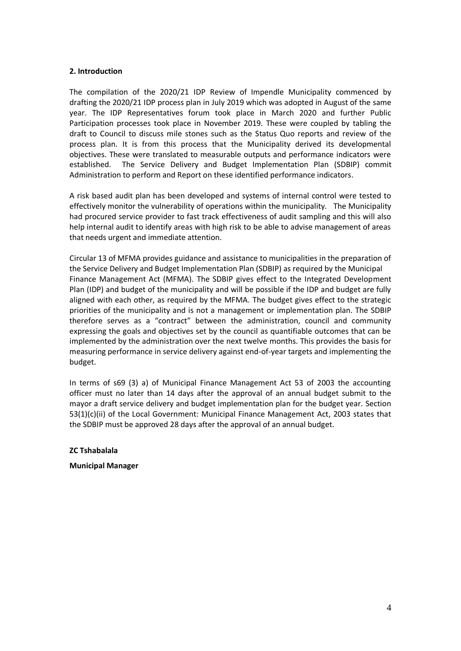#### **2. Introduction**

The compilation of the 2020/21 IDP Review of Impendle Municipality commenced by drafting the 2020/21 IDP process plan in July 2019 which was adopted in August of the same year. The IDP Representatives forum took place in March 2020 and further Public Participation processes took place in November 2019. These were coupled by tabling the draft to Council to discuss mile stones such as the Status Quo reports and review of the process plan. It is from this process that the Municipality derived its developmental objectives. These were translated to measurable outputs and performance indicators were established. The Service Delivery and Budget Implementation Plan (SDBIP) commit Administration to perform and Report on these identified performance indicators.

A risk based audit plan has been developed and systems of internal control were tested to effectively monitor the vulnerability of operations within the municipality. The Municipality had procured service provider to fast track effectiveness of audit sampling and this will also help internal audit to identify areas with high risk to be able to advise management of areas that needs urgent and immediate attention.

Circular 13 of MFMA provides guidance and assistance to municipalities in the preparation of the Service Delivery and Budget Implementation Plan (SDBIP) as required by the Municipal Finance Management Act (MFMA). The SDBIP gives effect to the Integrated Development Plan (IDP) and budget of the municipality and will be possible if the IDP and budget are fully aligned with each other, as required by the MFMA. The budget gives effect to the strategic priorities of the municipality and is not a management or implementation plan. The SDBIP therefore serves as a "contract" between the administration, council and community expressing the goals and objectives set by the council as quantifiable outcomes that can be implemented by the administration over the next twelve months. This provides the basis for measuring performance in service delivery against end-of-year targets and implementing the budget.

In terms of s69 (3) a) of Municipal Finance Management Act 53 of 2003 the accounting officer must no later than 14 days after the approval of an annual budget submit to the mayor a draft service delivery and budget implementation plan for the budget year. Section 53(1)(c)(ii) of the Local Government: Municipal Finance Management Act, 2003 states that the SDBIP must be approved 28 days after the approval of an annual budget.

**ZC Tshabalala**

**Municipal Manager**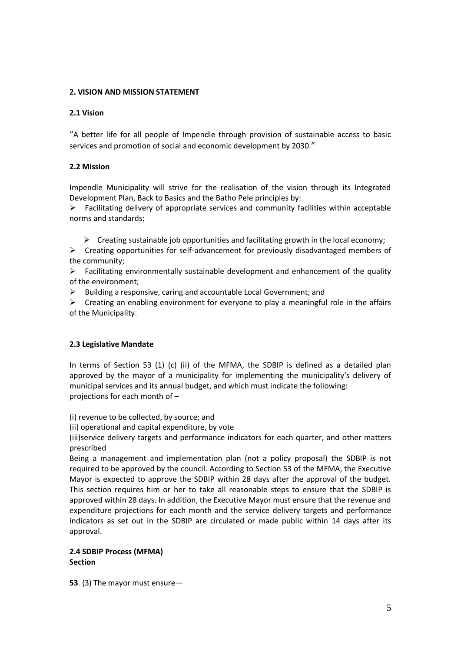### **2. VISION AND MISSION STATEMENT**

#### **2.1 Vision**

"A better life for all people of Impendle through provision of sustainable access to basic services and promotion of social and economic development by 2030."

#### **2.2 Mission**

Impendle Municipality will strive for the realisation of the vision through its Integrated Development Plan, Back to Basics and the Batho Pele principles by:

 $\triangleright$  Facilitating delivery of appropriate services and community facilities within acceptable norms and standards;

 $\triangleright$  Creating sustainable job opportunities and facilitating growth in the local economy;

 $\triangleright$  Creating opportunities for self-advancement for previously disadvantaged members of the community;

 $\triangleright$  Facilitating environmentally sustainable development and enhancement of the quality of the environment;

 $\triangleright$  Building a responsive, caring and accountable Local Government; and

 $\triangleright$  Creating an enabling environment for everyone to play a meaningful role in the affairs of the Municipality.

#### **2.3 Legislative Mandate**

In terms of Section 53 (1) (c) (ii) of the MFMA, the SDBIP is defined as a detailed plan approved by the mayor of a municipality for implementing the municipality's delivery of municipal services and its annual budget, and which must indicate the following: projections for each month of –

(i) revenue to be collected, by source; and

(ii) operational and capital expenditure, by vote

(iii)service delivery targets and performance indicators for each quarter, and other matters prescribed

Being a management and implementation plan (not a policy proposal) the SDBIP is not required to be approved by the council. According to Section 53 of the MFMA, the Executive Mayor is expected to approve the SDBIP within 28 days after the approval of the budget. This section requires him or her to take all reasonable steps to ensure that the SDBIP is approved within 28 days. In addition, the Executive Mayor must ensure that the revenue and expenditure projections for each month and the service delivery targets and performance indicators as set out in the SDBIP are circulated or made public within 14 days after its approval.

#### **2.4 SDBIP Process (MFMA) Section**

**53**. (3) The mayor must ensure—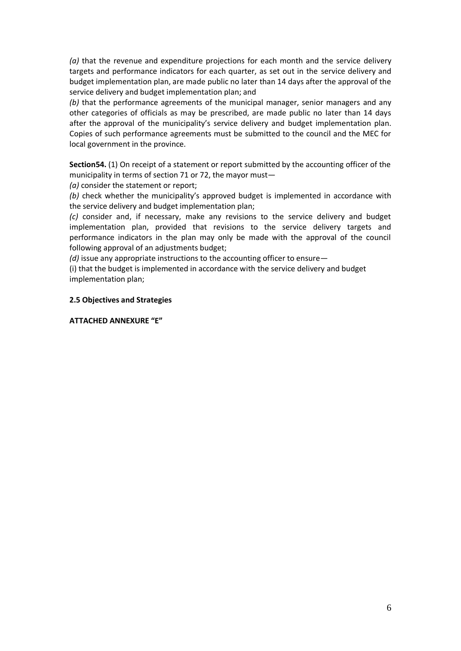*(a)* that the revenue and expenditure projections for each month and the service delivery targets and performance indicators for each quarter, as set out in the service delivery and budget implementation plan, are made public no later than 14 days after the approval of the service delivery and budget implementation plan; and

*(b)* that the performance agreements of the municipal manager, senior managers and any other categories of officials as may be prescribed, are made public no later than 14 days after the approval of the municipality's service delivery and budget implementation plan. Copies of such performance agreements must be submitted to the council and the MEC for local government in the province.

**Section54.** (1) On receipt of a statement or report submitted by the accounting officer of the municipality in terms of section 71 or 72, the mayor must—

*(a)* consider the statement or report;

*(b)* check whether the municipality's approved budget is implemented in accordance with the service delivery and budget implementation plan;

*(c)* consider and, if necessary, make any revisions to the service delivery and budget implementation plan, provided that revisions to the service delivery targets and performance indicators in the plan may only be made with the approval of the council following approval of an adjustments budget;

*(d)* issue any appropriate instructions to the accounting officer to ensure—

(i) that the budget is implemented in accordance with the service delivery and budget implementation plan;

### **2.5 Objectives and Strategies**

**ATTACHED ANNEXURE "E"**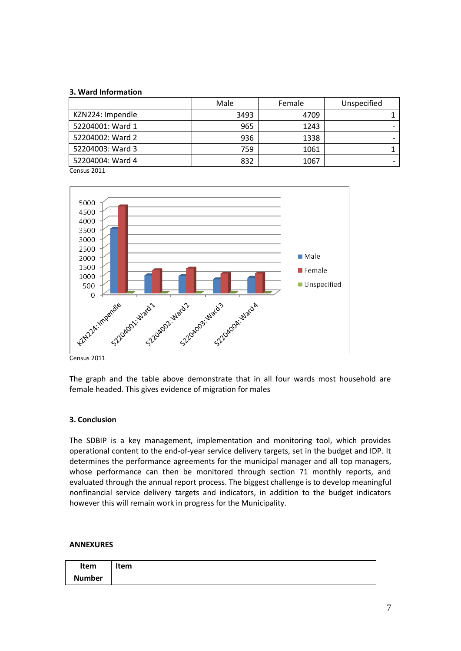#### **3. Ward Information**

| Female | Unspecified |
|--------|-------------|
| 4709   |             |
| 1243   |             |
| 1338   |             |
| 1061   |             |
| 1067   |             |
|        |             |

Census 2011



Census 2011

The graph and the table above demonstrate that in all four wards most household are female headed. This gives evidence of migration for males

#### **3. Conclusion**

The SDBIP is a key management, implementation and monitoring tool, which provides operational content to the end-of-year service delivery targets, set in the budget and IDP. It determines the performance agreements for the municipal manager and all top managers, whose performance can then be monitored through section 71 monthly reports, and evaluated through the annual report process. The biggest challenge is to develop meaningful nonfinancial service delivery targets and indicators, in addition to the budget indicators however this will remain work in progress for the Municipality.

#### **ANNEXURES**

| Item          | Item |
|---------------|------|
| <b>Number</b> |      |